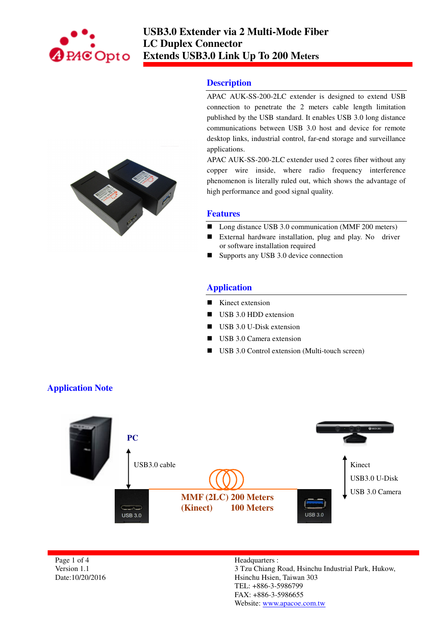

# **Description**

APAC AUK-SS-200-2LC extender is designed to extend USB connection to penetrate the 2 meters cable length limitation published by the USB standard. It enables USB 3.0 long distance communications between USB 3.0 host and device for remote desktop links, industrial control, far-end storage and surveillance applications.

APAC AUK-SS-200-2LC extender used 2 cores fiber without any copper wire inside, where radio frequency interference phenomenon is literally ruled out, which shows the advantage of high performance and good signal quality.

### **Features**

- Long distance USB 3.0 communication (MMF 200 meters)
- External hardware installation, plug and play. No driver or software installation required
- Supports any USB 3.0 device connection

# **Application**

- Kinect extension
- USB 3.0 HDD extension
- $\blacksquare$  USB 3.0 U-Disk extension
- USB 3.0 Camera extension
- USB 3.0 Control extension (Multi-touch screen)



Page 1 of 4 Version 1.1 Date:10/20/2016

#### Headquarters : 3 Tzu Chiang Road, Hsinchu Industrial Park, Hukow, Hsinchu Hsien, Taiwan 303 TEL: +886-3-5986799 FAX: +886-3-5986655 Website: www.apacoe.com.tw

# **Application Note**

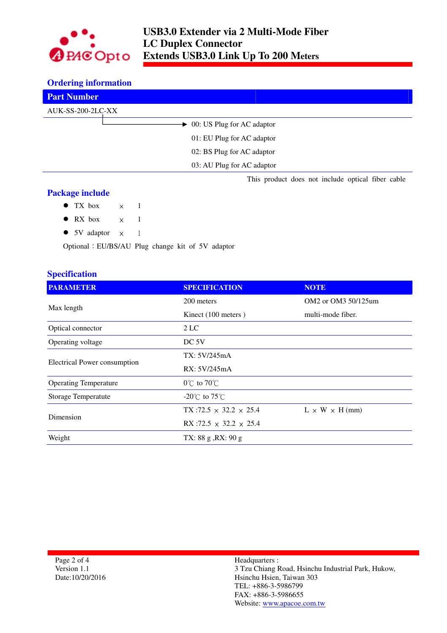

### **Ordering information**

| <b>Part Number</b>                                |
|---------------------------------------------------|
| AUK-SS-200-2LC-XX                                 |
| $\rightarrow$ 00: US Plug for AC adaptor          |
| 01: EU Plug for AC adaptor                        |
| 02: BS Plug for AC adaptor                        |
| 03: AU Plug for AC adaptor                        |
| This product does not include optical fiber cable |

## **Package include**

- $\bullet$  TX box  $\times$  1
- $\bullet$  RX box  $\times$  1
- 5V adaptor  $\times$  1

Optional:EU/BS/AU Plug change kit of 5V adaptor

# **Specification**

| <b>PARAMETER</b>                    | <b>SPECIFICATION</b>                 | <b>NOTE</b>                |
|-------------------------------------|--------------------------------------|----------------------------|
| Max length                          | 200 meters                           | OM2 or OM3 50/125um        |
|                                     | Kinect (100 meters)                  | multi-mode fiber.          |
| Optical connector                   | 2 LC                                 |                            |
| Operating voltage                   | DC <sub>5V</sub>                     |                            |
| <b>Electrical Power consumption</b> | TX: 5V/245mA                         |                            |
|                                     | RX: 5V/245mA                         |                            |
| <b>Operating Temperature</b>        | $0^{\circ}$ C to $70^{\circ}$ C      |                            |
| <b>Storage Temperatute</b>          | $-20^{\circ}$ C to 75 $^{\circ}$ C   |                            |
| Dimension                           | $TX:72.5 \times 32.2 \times 25.4$    | $L \times W \times H$ (mm) |
|                                     | RX :72.5 $\times$ 32.2 $\times$ 25.4 |                            |
| Weight                              | TX: $88 g$ , RX: $90 g$              |                            |

Page 2 of 4 Version 1.1 Date:10/20/2016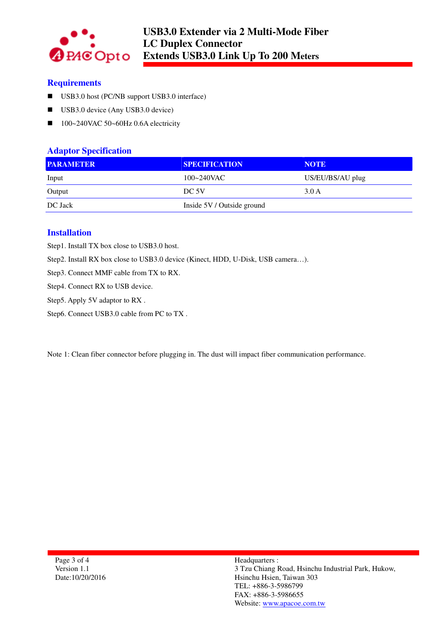

# **Requirements**

- USB3.0 host (PC/NB support USB3.0 interface)
- USB3.0 device (Any USB3.0 device)
- $100~240$ VAC 50~60Hz 0.6A electricity

## **Adaptor Specification**

| <b>PARAMETER</b> | <b>SPECIFICATION</b>       | <b>NOTE</b>      |
|------------------|----------------------------|------------------|
| Input            | $100 - 240$ VAC            | US/EU/BS/AU plug |
| Output           | DC 5V                      | 3.0A             |
| DC Jack          | Inside 5V / Outside ground |                  |

# **Installation**

Step1. Install TX box close to USB3.0 host.

Step2. Install RX box close to USB3.0 device (Kinect, HDD, U-Disk, USB camera…).

Step3. Connect MMF cable from TX to RX.

Step4. Connect RX to USB device.

Step5. Apply 5V adaptor to RX .

Step6. Connect USB3.0 cable from PC to TX .

Note 1: Clean fiber connector before plugging in. The dust will impact fiber communication performance.

Page 3 of 4 Version 1.1 Date:10/20/2016